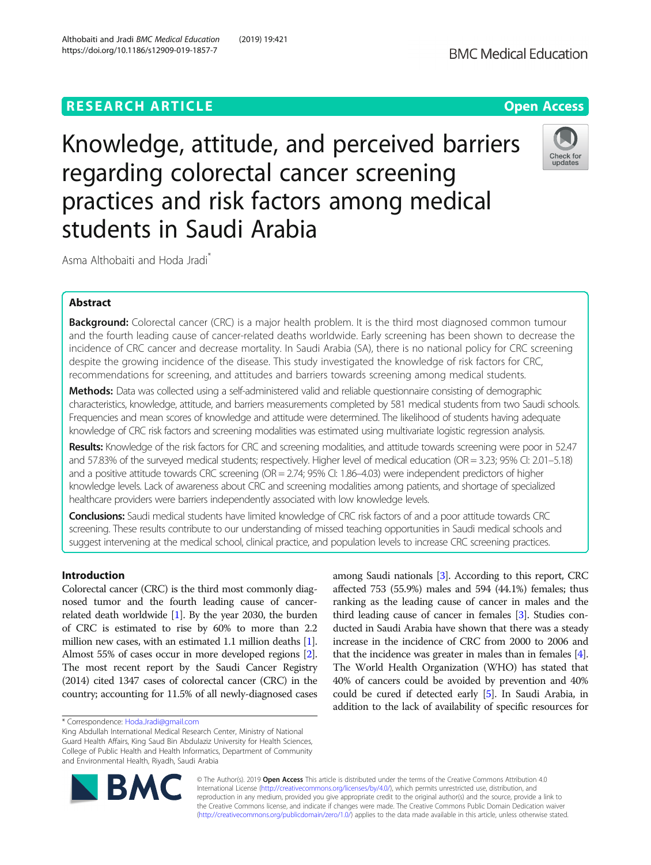# **RESEARCH ARTICLE Example 2014 12:30 The Contract of Contract ACCESS**

Knowledge, attitude, and perceived barriers regarding colorectal cancer screening practices and risk factors among medical students in Saudi Arabia

Asma Althobaiti and Hoda Jradi\*

# Abstract

Background: Colorectal cancer (CRC) is a major health problem. It is the third most diagnosed common tumour and the fourth leading cause of cancer-related deaths worldwide. Early screening has been shown to decrease the incidence of CRC cancer and decrease mortality. In Saudi Arabia (SA), there is no national policy for CRC screening despite the growing incidence of the disease. This study investigated the knowledge of risk factors for CRC, recommendations for screening, and attitudes and barriers towards screening among medical students.

Methods: Data was collected using a self-administered valid and reliable questionnaire consisting of demographic characteristics, knowledge, attitude, and barriers measurements completed by 581 medical students from two Saudi schools. Frequencies and mean scores of knowledge and attitude were determined. The likelihood of students having adequate knowledge of CRC risk factors and screening modalities was estimated using multivariate logistic regression analysis.

Results: Knowledge of the risk factors for CRC and screening modalities, and attitude towards screening were poor in 52.47 and 57.83% of the surveyed medical students; respectively. Higher level of medical education (OR = 3.23; 95% CI: 2.01–5.18) and a positive attitude towards CRC screening (OR = 2.74; 95% CI: 1.86–4.03) were independent predictors of higher knowledge levels. Lack of awareness about CRC and screening modalities among patients, and shortage of specialized healthcare providers were barriers independently associated with low knowledge levels.

**Conclusions:** Saudi medical students have limited knowledge of CRC risk factors of and a poor attitude towards CRC screening. These results contribute to our understanding of missed teaching opportunities in Saudi medical schools and suggest intervening at the medical school, clinical practice, and population levels to increase CRC screening practices.

# Introduction

Colorectal cancer (CRC) is the third most commonly diagnosed tumor and the fourth leading cause of cancerrelated death worldwide [[1](#page-7-0)]. By the year 2030, the burden of CRC is estimated to rise by 60% to more than 2.2 million new cases, with an estimated 1.1 million deaths [[1](#page-7-0)]. Almost 55% of cases occur in more developed regions [[2](#page-7-0)]. The most recent report by the Saudi Cancer Registry (2014) cited 1347 cases of colorectal cancer (CRC) in the country; accounting for 11.5% of all newly-diagnosed cases

\* Correspondence: [Hoda.Jradi@gmail.com](mailto:Hoda.Jradi@gmail.com)

could be cured if detected early [[5\]](#page-7-0). In Saudi Arabia, in addition to the lack of availability of specific resources for © The Author(s). 2019 Open Access This article is distributed under the terms of the Creative Commons Attribution 4.0

among Saudi nationals [[3](#page-7-0)]. According to this report, CRC affected 753 (55.9%) males and 594 (44.1%) females; thus ranking as the leading cause of cancer in males and the third leading cause of cancer in females [[3](#page-7-0)]. Studies conducted in Saudi Arabia have shown that there was a steady increase in the incidence of CRC from 2000 to 2006 and that the incidence was greater in males than in females [[4](#page-7-0)]. The World Health Organization (WHO) has stated that 40% of cancers could be avoided by prevention and 40%



International License [\(http://creativecommons.org/licenses/by/4.0/](http://creativecommons.org/licenses/by/4.0/)), which permits unrestricted use, distribution, and reproduction in any medium, provided you give appropriate credit to the original author(s) and the source, provide a link to the Creative Commons license, and indicate if changes were made. The Creative Commons Public Domain Dedication waiver [\(http://creativecommons.org/publicdomain/zero/1.0/](http://creativecommons.org/publicdomain/zero/1.0/)) applies to the data made available in this article, unless otherwise stated.



King Abdullah International Medical Research Center, Ministry of National Guard Health Affairs, King Saud Bin Abdulaziz University for Health Sciences, College of Public Health and Health Informatics, Department of Community and Environmental Health, Riyadh, Saudi Arabia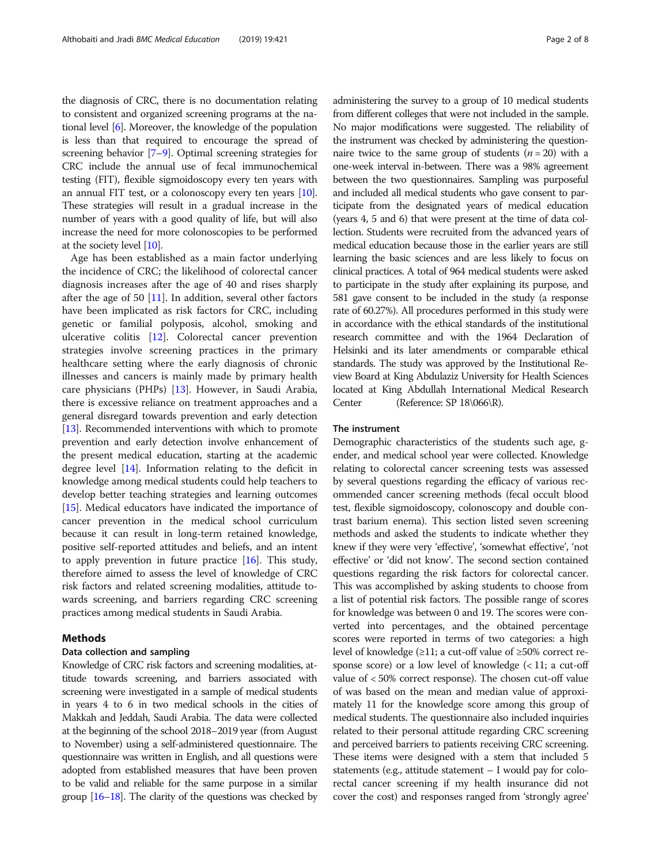the diagnosis of CRC, there is no documentation relating to consistent and organized screening programs at the national level [\[6](#page-7-0)]. Moreover, the knowledge of the population is less than that required to encourage the spread of screening behavior [\[7](#page-7-0)–[9](#page-7-0)]. Optimal screening strategies for CRC include the annual use of fecal immunochemical testing (FIT), flexible sigmoidoscopy every ten years with an annual FIT test, or a colonoscopy every ten years [\[10](#page-7-0)]. These strategies will result in a gradual increase in the number of years with a good quality of life, but will also increase the need for more colonoscopies to be performed at the society level [\[10\]](#page-7-0).

Age has been established as a main factor underlying the incidence of CRC; the likelihood of colorectal cancer diagnosis increases after the age of 40 and rises sharply after the age of 50 [\[11](#page-7-0)]. In addition, several other factors have been implicated as risk factors for CRC, including genetic or familial polyposis, alcohol, smoking and ulcerative colitis [\[12\]](#page-7-0). Colorectal cancer prevention strategies involve screening practices in the primary healthcare setting where the early diagnosis of chronic illnesses and cancers is mainly made by primary health care physicians (PHPs) [\[13\]](#page-7-0). However, in Saudi Arabia, there is excessive reliance on treatment approaches and a general disregard towards prevention and early detection [[13](#page-7-0)]. Recommended interventions with which to promote prevention and early detection involve enhancement of the present medical education, starting at the academic degree level  $[14]$ . Information relating to the deficit in knowledge among medical students could help teachers to develop better teaching strategies and learning outcomes [[15](#page-7-0)]. Medical educators have indicated the importance of cancer prevention in the medical school curriculum because it can result in long-term retained knowledge, positive self-reported attitudes and beliefs, and an intent to apply prevention in future practice [[16](#page-7-0)]. This study, therefore aimed to assess the level of knowledge of CRC risk factors and related screening modalities, attitude towards screening, and barriers regarding CRC screening practices among medical students in Saudi Arabia.

# Methods

### Data collection and sampling

Knowledge of CRC risk factors and screening modalities, attitude towards screening, and barriers associated with screening were investigated in a sample of medical students in years 4 to 6 in two medical schools in the cities of Makkah and Jeddah, Saudi Arabia. The data were collected at the beginning of the school 2018–2019 year (from August to November) using a self-administered questionnaire. The questionnaire was written in English, and all questions were adopted from established measures that have been proven to be valid and reliable for the same purpose in a similar group [[16](#page-7-0)–[18\]](#page-7-0). The clarity of the questions was checked by administering the survey to a group of 10 medical students from different colleges that were not included in the sample. No major modifications were suggested. The reliability of the instrument was checked by administering the questionnaire twice to the same group of students  $(n = 20)$  with a one-week interval in-between. There was a 98% agreement between the two questionnaires. Sampling was purposeful and included all medical students who gave consent to participate from the designated years of medical education (years 4, 5 and 6) that were present at the time of data collection. Students were recruited from the advanced years of medical education because those in the earlier years are still learning the basic sciences and are less likely to focus on clinical practices. A total of 964 medical students were asked to participate in the study after explaining its purpose, and 581 gave consent to be included in the study (a response rate of 60.27%). All procedures performed in this study were in accordance with the ethical standards of the institutional research committee and with the 1964 Declaration of Helsinki and its later amendments or comparable ethical standards. The study was approved by the Institutional Review Board at King Abdulaziz University for Health Sciences located at King Abdullah International Medical Research Center (Reference: SP 18\066\R).

### The instrument

Demographic characteristics of the students such age, gender, and medical school year were collected. Knowledge relating to colorectal cancer screening tests was assessed by several questions regarding the efficacy of various recommended cancer screening methods (fecal occult blood test, flexible sigmoidoscopy, colonoscopy and double contrast barium enema). This section listed seven screening methods and asked the students to indicate whether they knew if they were very 'effective', 'somewhat effective', 'not effective' or 'did not know'. The second section contained questions regarding the risk factors for colorectal cancer. This was accomplished by asking students to choose from a list of potential risk factors. The possible range of scores for knowledge was between 0 and 19. The scores were converted into percentages, and the obtained percentage scores were reported in terms of two categories: a high level of knowledge (≥11; a cut-off value of  $≥50\%$  correct response score) or a low level of knowledge  $\left($  < 11; a cut-off value of < 50% correct response). The chosen cut-off value of was based on the mean and median value of approximately 11 for the knowledge score among this group of medical students. The questionnaire also included inquiries related to their personal attitude regarding CRC screening and perceived barriers to patients receiving CRC screening. These items were designed with a stem that included 5 statements (e.g., attitude statement – I would pay for colorectal cancer screening if my health insurance did not cover the cost) and responses ranged from 'strongly agree'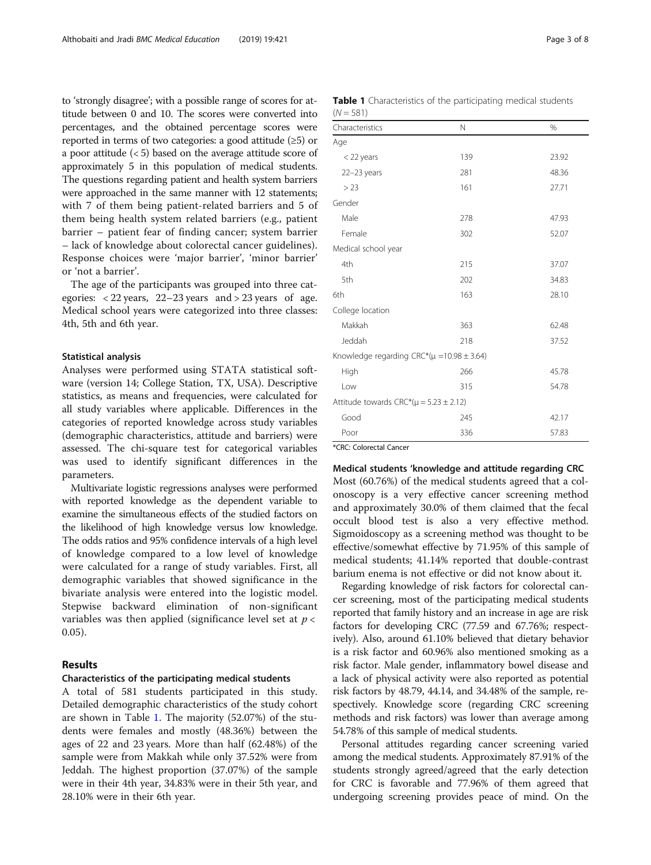to 'strongly disagree'; with a possible range of scores for attitude between 0 and 10. The scores were converted into percentages, and the obtained percentage scores were reported in terms of two categories: a good attitude  $(\geq 5)$  or a poor attitude (< 5) based on the average attitude score of approximately 5 in this population of medical students. The questions regarding patient and health system barriers were approached in the same manner with 12 statements; with 7 of them being patient-related barriers and 5 of them being health system related barriers (e.g., patient barrier – patient fear of finding cancer; system barrier – lack of knowledge about colorectal cancer guidelines). Response choices were 'major barrier', 'minor barrier' or 'not a barrier'.

The age of the participants was grouped into three categories: < 22 years, 22–23 years and > 23 years of age. Medical school years were categorized into three classes: 4th, 5th and 6th year.

### Statistical analysis

Analyses were performed using STATA statistical software (version 14; College Station, TX, USA). Descriptive statistics, as means and frequencies, were calculated for all study variables where applicable. Differences in the categories of reported knowledge across study variables (demographic characteristics, attitude and barriers) were assessed. The chi-square test for categorical variables was used to identify significant differences in the parameters.

Multivariate logistic regressions analyses were performed with reported knowledge as the dependent variable to examine the simultaneous effects of the studied factors on the likelihood of high knowledge versus low knowledge. The odds ratios and 95% confidence intervals of a high level of knowledge compared to a low level of knowledge were calculated for a range of study variables. First, all demographic variables that showed significance in the bivariate analysis were entered into the logistic model. Stepwise backward elimination of non-significant variables was then applied (significance level set at  $p <$ 0.05).

## Results

### Characteristics of the participating medical students

A total of 581 students participated in this study. Detailed demographic characteristics of the study cohort are shown in Table 1. The majority (52.07%) of the students were females and mostly (48.36%) between the ages of 22 and 23 years. More than half (62.48%) of the sample were from Makkah while only 37.52% were from Jeddah. The highest proportion (37.07%) of the sample were in their 4th year, 34.83% were in their 5th year, and 28.10% were in their 6th year.

| $\sqrt{1 + 2}$                                    |     |       |  |  |  |  |  |
|---------------------------------------------------|-----|-------|--|--|--|--|--|
| Characteristics                                   | N   | %     |  |  |  |  |  |
| Age                                               |     |       |  |  |  |  |  |
| $<$ 22 years                                      | 139 | 23.92 |  |  |  |  |  |
| 22-23 years                                       | 281 | 48.36 |  |  |  |  |  |
| > 23                                              | 161 | 27.71 |  |  |  |  |  |
| Gender                                            |     |       |  |  |  |  |  |
| Male                                              | 278 | 47.93 |  |  |  |  |  |
| Female                                            | 302 | 52.07 |  |  |  |  |  |
| Medical school year                               |     |       |  |  |  |  |  |
| 4th                                               | 215 | 37.07 |  |  |  |  |  |
| 5th                                               | 202 | 34.83 |  |  |  |  |  |
| 6th                                               | 163 | 28.10 |  |  |  |  |  |
| College location                                  |     |       |  |  |  |  |  |
| Makkah                                            | 363 | 62.48 |  |  |  |  |  |
| Jeddah                                            | 218 | 37.52 |  |  |  |  |  |
| Knowledge regarding $CRC^*(\mu = 10.98 \pm 3.64)$ |     |       |  |  |  |  |  |
| High                                              | 266 | 45.78 |  |  |  |  |  |
| Low                                               | 315 | 54.78 |  |  |  |  |  |
| Attitude towards $CRC*(\mu = 5.23 \pm 2.12)$      |     |       |  |  |  |  |  |
| Good                                              | 245 | 42.17 |  |  |  |  |  |
| Poor                                              | 336 | 57.83 |  |  |  |  |  |

\*CRC: Colorectal Cancer

Medical students 'knowledge and attitude regarding CRC Most (60.76%) of the medical students agreed that a colonoscopy is a very effective cancer screening method and approximately 30.0% of them claimed that the fecal occult blood test is also a very effective method. Sigmoidoscopy as a screening method was thought to be effective/somewhat effective by 71.95% of this sample of medical students; 41.14% reported that double-contrast barium enema is not effective or did not know about it.

Regarding knowledge of risk factors for colorectal cancer screening, most of the participating medical students reported that family history and an increase in age are risk factors for developing CRC (77.59 and 67.76%; respectively). Also, around 61.10% believed that dietary behavior is a risk factor and 60.96% also mentioned smoking as a risk factor. Male gender, inflammatory bowel disease and a lack of physical activity were also reported as potential risk factors by 48.79, 44.14, and 34.48% of the sample, respectively. Knowledge score (regarding CRC screening methods and risk factors) was lower than average among 54.78% of this sample of medical students.

Personal attitudes regarding cancer screening varied among the medical students. Approximately 87.91% of the students strongly agreed/agreed that the early detection for CRC is favorable and 77.96% of them agreed that undergoing screening provides peace of mind. On the

|             | <b>Table 1</b> Characteristics of the participating medical students |  |  |
|-------------|----------------------------------------------------------------------|--|--|
| $(N = 581)$ |                                                                      |  |  |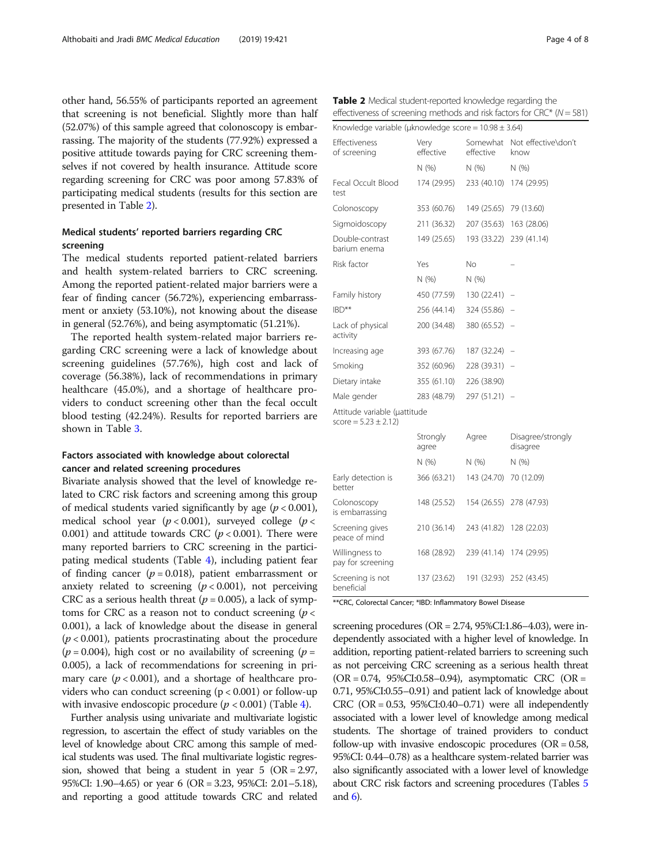other hand, 56.55% of participants reported an agreement that screening is not beneficial. Slightly more than half (52.07%) of this sample agreed that colonoscopy is embarrassing. The majority of the students (77.92%) expressed a positive attitude towards paying for CRC screening themselves if not covered by health insurance. Attitude score regarding screening for CRC was poor among 57.83% of participating medical students (results for this section are presented in Table 2).

# Medical students' reported barriers regarding CRC screening

The medical students reported patient-related barriers and health system-related barriers to CRC screening. Among the reported patient-related major barriers were a fear of finding cancer (56.72%), experiencing embarrassment or anxiety (53.10%), not knowing about the disease in general (52.76%), and being asymptomatic (51.21%).

The reported health system-related major barriers regarding CRC screening were a lack of knowledge about screening guidelines (57.76%), high cost and lack of coverage (56.38%), lack of recommendations in primary healthcare (45.0%), and a shortage of healthcare providers to conduct screening other than the fecal occult blood testing (42.24%). Results for reported barriers are shown in Table [3.](#page-4-0)

# Factors associated with knowledge about colorectal cancer and related screening procedures

Bivariate analysis showed that the level of knowledge related to CRC risk factors and screening among this group of medical students varied significantly by age ( $p < 0.001$ ), medical school year ( $p < 0.001$ ), surveyed college ( $p <$ 0.001) and attitude towards CRC ( $p < 0.001$ ). There were many reported barriers to CRC screening in the participating medical students (Table [4](#page-5-0)), including patient fear of finding cancer ( $p = 0.018$ ), patient embarrassment or anxiety related to screening  $(p < 0.001)$ , not perceiving CRC as a serious health threat ( $p = 0.005$ ), a lack of symptoms for CRC as a reason not to conduct screening  $(p <$ 0.001), a lack of knowledge about the disease in general  $(p < 0.001)$ , patients procrastinating about the procedure  $(p = 0.004)$ , high cost or no availability of screening  $(p = 1.004)$ 0.005), a lack of recommendations for screening in primary care ( $p < 0.001$ ), and a shortage of healthcare providers who can conduct screening  $(p < 0.001)$  or follow-up with invasive endoscopic procedure  $(p < 0.001)$  (Table [4\)](#page-5-0).

Further analysis using univariate and multivariate logistic regression, to ascertain the effect of study variables on the level of knowledge about CRC among this sample of medical students was used. The final multivariate logistic regression, showed that being a student in year  $5$  (OR = 2.97, 95%CI: 1.90–4.65) or year 6 (OR = 3.23, 95%CI: 2.01–5.18), and reporting a good attitude towards CRC and related

| Knowledge variable (µknowledge score = $10.98 \pm 3.64$ ) |             |                                     |                                      |
|-----------------------------------------------------------|-------------|-------------------------------------|--------------------------------------|
| <b>Effectiveness</b><br>of screening                      | Very        | effective effective                 | Somewhat Not effective\don't<br>know |
|                                                           | N (%)       | N (%)                               | N(%)                                 |
| Fecal Occult Blood<br>test                                |             | 174 (29.95) 233 (40.10) 174 (29.95) |                                      |
| Colonoscopy                                               |             | 353 (60.76) 149 (25.65) 79 (13.60)  |                                      |
| Sigmoidoscopy                                             | 211 (36.32) |                                     | 207 (35.63) 163 (28.06)              |
| Double-contrast<br>barium enema                           | 149 (25.65) |                                     | 193 (33.22) 239 (41.14)              |
| Risk factor                                               | Yes         | <b>No</b>                           |                                      |
|                                                           | N (%)       | N(% )                               |                                      |
| Family history                                            |             | 450 (77.59) 130 (22.41) -           |                                      |
| $IBD***$                                                  |             | 256 (44.14) 324 (55.86) –           |                                      |
| Lack of physical<br>activity                              | 200 (34.48) | 380 (65.52) -                       |                                      |
| Increasing age                                            | 393 (67.76) | $187(32.24) -$                      |                                      |
| Smoking                                                   | 352 (60.96) | $228(39.31) -$                      |                                      |
| Dietary intake                                            |             | 355 (61.10) 226 (38.90)             |                                      |
| Male gender                                               |             | 283 (48.79) 297 (51.21) -           |                                      |
| Attitude variable (µattitude<br>$score = 5.23 \pm 2.12$   |             |                                     |                                      |
|                                                           |             |                                     |                                      |

|                                     | Strongly<br>agree | Agree                   | Disagree/strongly<br>disagree |
|-------------------------------------|-------------------|-------------------------|-------------------------------|
|                                     | N(%)              | N(%)                    | N(%)                          |
| Early detection is<br>better        | 366 (63.21)       | 143 (24.70) 70 (12.09)  |                               |
| Colonoscopy<br>is embarrassing      | 148 (25.52)       | 154 (26.55) 278 (47.93) |                               |
| Screening gives<br>peace of mind    | 210 (36.14)       | 243 (41.82)             | 128 (22.03)                   |
| Willingness to<br>pay for screening | 168 (28.92)       | 239 (41.14) 174 (29.95) |                               |
| Screening is not<br>beneficial      | 137 (23.62)       | 191 (32.93) 252 (43.45) |                               |
|                                     |                   |                         |                               |

\*\*CRC, Colorectal Cancer; \*IBD: Inflammatory Bowel Disease

screening procedures ( $OR = 2.74$ ,  $95\% CI:1.86 - 4.03$ ), were independently associated with a higher level of knowledge. In addition, reporting patient-related barriers to screening such as not perceiving CRC screening as a serious health threat (OR = 0.74, 95%CI:0.58–0.94), asymptomatic CRC (OR = 0.71, 95%CI:0.55–0.91) and patient lack of knowledge about CRC (OR =  $0.53$ ,  $95\%$ CI:0.40–0.71) were all independently associated with a lower level of knowledge among medical students. The shortage of trained providers to conduct follow-up with invasive endoscopic procedures  $(OR = 0.58,$ 95%CI: 0.44–0.78) as a healthcare system-related barrier was also significantly associated with a lower level of knowledge about CRC risk factors and screening procedures (Tables [5](#page-5-0) and [6](#page-6-0)).

| <b>Table 2</b> Medical student-reported knowledge regarding the            |  |
|----------------------------------------------------------------------------|--|
| effectiveness of screening methods and risk factors for CRC* ( $N = 581$ ) |  |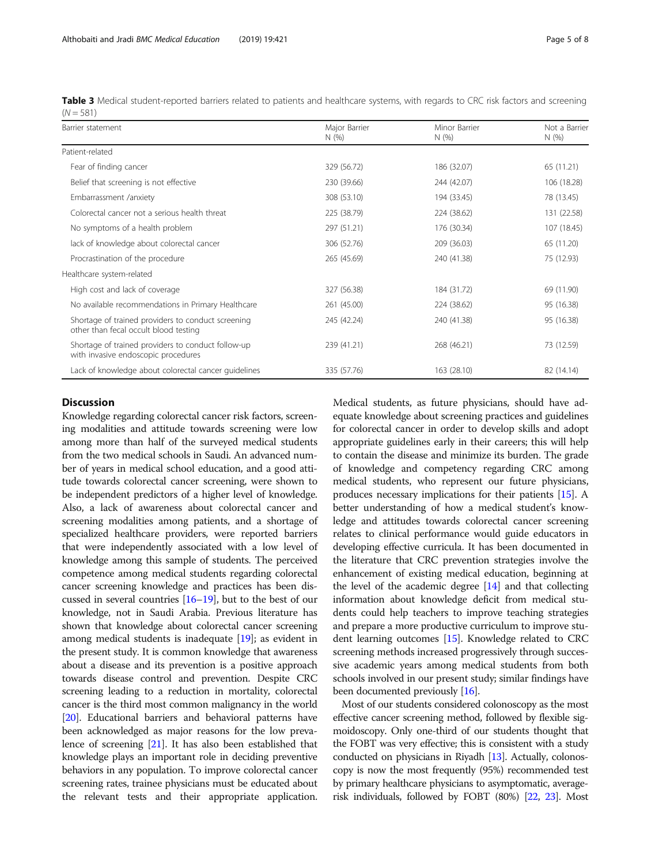<span id="page-4-0"></span>

|             | Table 3 Medical student-reported barriers related to patients and healthcare systems, with regards to CRC risk factors and screening |  |  |  |  |  |  |  |
|-------------|--------------------------------------------------------------------------------------------------------------------------------------|--|--|--|--|--|--|--|
| $(N = 581)$ |                                                                                                                                      |  |  |  |  |  |  |  |

| Barrier statement                                                                           | Major Barrier<br>N(%) | Minor Barrier<br>N(% | Not a Barrier<br>N(% |
|---------------------------------------------------------------------------------------------|-----------------------|----------------------|----------------------|
| Patient-related                                                                             |                       |                      |                      |
| Fear of finding cancer                                                                      | 329 (56.72)           | 186 (32.07)          | 65 (11.21)           |
| Belief that screening is not effective                                                      | 230 (39.66)           | 244 (42.07)          | 106 (18.28)          |
| Embarrassment /anxiety                                                                      | 308 (53.10)           | 194 (33.45)          | 78 (13.45)           |
| Colorectal cancer not a serious health threat                                               | 225 (38.79)           | 224 (38.62)          | 131 (22.58)          |
| No symptoms of a health problem                                                             | 297 (51.21)           | 176 (30.34)          | 107 (18.45)          |
| lack of knowledge about colorectal cancer                                                   | 306 (52.76)           | 209 (36.03)          | 65 (11.20)           |
| Procrastination of the procedure                                                            | 265 (45.69)           | 240 (41.38)          | 75 (12.93)           |
| Healthcare system-related                                                                   |                       |                      |                      |
| High cost and lack of coverage                                                              | 327 (56.38)           | 184 (31.72)          | 69 (11.90)           |
| No available recommendations in Primary Healthcare                                          | 261 (45.00)           | 224 (38.62)          | 95 (16.38)           |
| Shortage of trained providers to conduct screening<br>other than fecal occult blood testing | 245 (42.24)           | 240 (41.38)          | 95 (16.38)           |
| Shortage of trained providers to conduct follow-up<br>with invasive endoscopic procedures   | 239 (41.21)           | 268 (46.21)          | 73 (12.59)           |
| Lack of knowledge about colorectal cancer guidelines                                        | 335 (57.76)           | 163 (28.10)          | 82 (14.14)           |

# Discussion

Knowledge regarding colorectal cancer risk factors, screening modalities and attitude towards screening were low among more than half of the surveyed medical students from the two medical schools in Saudi. An advanced number of years in medical school education, and a good attitude towards colorectal cancer screening, were shown to be independent predictors of a higher level of knowledge. Also, a lack of awareness about colorectal cancer and screening modalities among patients, and a shortage of specialized healthcare providers, were reported barriers that were independently associated with a low level of knowledge among this sample of students. The perceived competence among medical students regarding colorectal cancer screening knowledge and practices has been discussed in several countries [\[16](#page-7-0)–[19\]](#page-7-0), but to the best of our knowledge, not in Saudi Arabia. Previous literature has shown that knowledge about colorectal cancer screening among medical students is inadequate [[19](#page-7-0)]; as evident in the present study. It is common knowledge that awareness about a disease and its prevention is a positive approach towards disease control and prevention. Despite CRC screening leading to a reduction in mortality, colorectal cancer is the third most common malignancy in the world [[20](#page-7-0)]. Educational barriers and behavioral patterns have been acknowledged as major reasons for the low prevalence of screening [\[21\]](#page-7-0). It has also been established that knowledge plays an important role in deciding preventive behaviors in any population. To improve colorectal cancer screening rates, trainee physicians must be educated about the relevant tests and their appropriate application. Medical students, as future physicians, should have adequate knowledge about screening practices and guidelines for colorectal cancer in order to develop skills and adopt appropriate guidelines early in their careers; this will help to contain the disease and minimize its burden. The grade of knowledge and competency regarding CRC among medical students, who represent our future physicians, produces necessary implications for their patients [\[15\]](#page-7-0). A better understanding of how a medical student's knowledge and attitudes towards colorectal cancer screening relates to clinical performance would guide educators in developing effective curricula. It has been documented in the literature that CRC prevention strategies involve the enhancement of existing medical education, beginning at the level of the academic degree [\[14](#page-7-0)] and that collecting information about knowledge deficit from medical students could help teachers to improve teaching strategies and prepare a more productive curriculum to improve student learning outcomes [[15](#page-7-0)]. Knowledge related to CRC screening methods increased progressively through successive academic years among medical students from both schools involved in our present study; similar findings have been documented previously [[16](#page-7-0)].

Most of our students considered colonoscopy as the most effective cancer screening method, followed by flexible sigmoidoscopy. Only one-third of our students thought that the FOBT was very effective; this is consistent with a study conducted on physicians in Riyadh [[13](#page-7-0)]. Actually, colonoscopy is now the most frequently (95%) recommended test by primary healthcare physicians to asymptomatic, averagerisk individuals, followed by FOBT (80%) [\[22](#page-7-0), [23](#page-7-0)]. Most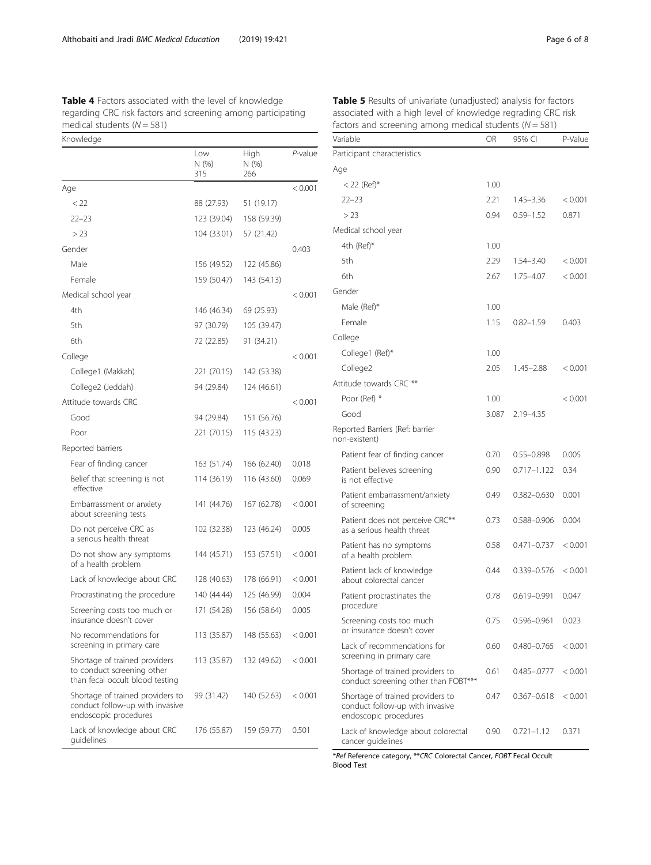| Knowledge                                                                                    |              |              |            | Variable                                                                                     | <b>OR</b> | 95% CI          | P-Value |
|----------------------------------------------------------------------------------------------|--------------|--------------|------------|----------------------------------------------------------------------------------------------|-----------|-----------------|---------|
|                                                                                              | Low          | High         | $P$ -value | Participant characteristics                                                                  |           |                 |         |
|                                                                                              | N(% )<br>315 | N (%)<br>266 |            | Age                                                                                          |           |                 |         |
| Age                                                                                          |              |              | < 0.001    | $< 22$ (Ref)*                                                                                | 1.00      |                 |         |
| < 22                                                                                         | 88 (27.93)   | 51 (19.17)   |            | $22 - 23$                                                                                    | 2.21      | $1.45 - 3.36$   | < 0.001 |
| $22 - 23$                                                                                    | 123 (39.04)  | 158 (59.39)  |            | > 23                                                                                         | 0.94      | $0.59 - 1.52$   | 0.871   |
| > 23                                                                                         | 104 (33.01)  | 57 (21.42)   |            | Medical school year                                                                          |           |                 |         |
| Gender                                                                                       |              |              | 0.403      | 4th (Ref)*                                                                                   | 1.00      |                 |         |
| Male                                                                                         | 156 (49.52)  | 122 (45.86)  |            | 5th                                                                                          | 2.29      | $1.54 - 3.40$   | < 0.001 |
| Female                                                                                       | 159 (50.47)  | 143 (54.13)  |            | 6th                                                                                          | 2.67      | $1.75 - 4.07$   | < 0.001 |
| Medical school year                                                                          |              |              | < 0.001    | Gender                                                                                       |           |                 |         |
| 4th                                                                                          | 146 (46.34)  | 69 (25.93)   |            | Male (Ref)*                                                                                  | 1.00      |                 |         |
| 5th                                                                                          | 97 (30.79)   | 105 (39.47)  |            | Female                                                                                       | 1.15      | $0.82 - 1.59$   | 0.403   |
| 6th                                                                                          | 72 (22.85)   | 91 (34.21)   |            | College                                                                                      |           |                 |         |
| College                                                                                      |              |              | < 0.001    | College1 (Ref)*                                                                              | 1.00      |                 |         |
| College1 (Makkah)                                                                            | 221 (70.15)  | 142 (53.38)  |            | College2                                                                                     | 2.05      | $1.45 - 2.88$   | < 0.001 |
| College2 (Jeddah)                                                                            | 94 (29.84)   | 124 (46.61)  |            | Attitude towards CRC **                                                                      |           |                 |         |
| Attitude towards CRC                                                                         |              |              | < 0.001    | Poor (Ref) *                                                                                 | 1.00      |                 | < 0.001 |
| Good                                                                                         | 94 (29.84)   | 151 (56.76)  |            | Good                                                                                         | 3.087     | $2.19 - 4.35$   |         |
| Poor                                                                                         | 221 (70.15)  | 115 (43.23)  |            | Reported Barriers (Ref: barrier<br>non-existent)                                             |           |                 |         |
| Reported barriers                                                                            |              |              |            | Patient fear of finding cancer                                                               | 0.70      | $0.55 - 0.898$  | 0.005   |
| Fear of finding cancer                                                                       | 163 (51.74)  | 166 (62.40)  | 0.018      | Patient believes screening                                                                   | 0.90      | $0.717 - 1.122$ | 0.34    |
| Belief that screening is not<br>effective                                                    | 114 (36.19)  | 116 (43.60)  | 0.069      | is not effective<br>Patient embarrassment/anxiety                                            | 0.49      | $0.382 - 0.630$ | 0.001   |
| Embarrassment or anxiety<br>about screening tests                                            | 141 (44.76)  | 167 (62.78)  | < 0.001    | of screening                                                                                 |           |                 |         |
| Do not perceive CRC as<br>a serious health threat                                            | 102 (32.38)  | 123 (46.24)  | 0.005      | Patient does not perceive CRC**<br>as a serious health threat                                | 0.73      | 0.588-0.906     | 0.004   |
| Do not show any symptoms<br>of a health problem                                              | 144 (45.71)  | 153 (57.51)  | < 0.001    | Patient has no symptoms<br>of a health problem                                               | 0.58      | $0.471 - 0.737$ | < 0.001 |
| Lack of knowledge about CRC                                                                  | 128 (40.63)  | 178 (66.91)  | < 0.001    | Patient lack of knowledge<br>about colorectal cancer                                         | 0.44      | 0.339-0.576     | < 0.001 |
| Procrastinating the procedure                                                                | 140 (44.44)  | 125 (46.99)  | 0.004      | Patient procrastinates the                                                                   | 0.78      | 0.619-0.991     | 0.047   |
| Screening costs too much or                                                                  | 171 (54.28)  | 156 (58.64)  | 0.005      | procedure                                                                                    |           |                 |         |
| insurance doesn't cover<br>No recommendations for                                            | 113 (35.87)  | 148 (55.63)  | < 0.001    | Screening costs too much<br>or insurance doesn't cover                                       | 0.75      | 0.596-0.961     | 0.023   |
| screening in primary care<br>Shortage of trained providers                                   | 113 (35.87)  | 132 (49.62)  | < 0.001    | Lack of recommendations for<br>screening in primary care                                     | 0.60      | 0.480-0.765     | < 0.001 |
| to conduct screening other<br>than fecal occult blood testing                                |              |              |            | Shortage of trained providers to<br>conduct screening other than FOBT***                     | 0.61      | $0.485 - 0777$  | < 0.001 |
| Shortage of trained providers to<br>conduct follow-up with invasive<br>endoscopic procedures | 99 (31.42)   | 140 (52.63)  | < 0.001    | Shortage of trained providers to<br>conduct follow-up with invasive<br>endoscopic procedures | 0.47      | $0.367 - 0.618$ | < 0.001 |
| Lack of knowledge about CRC<br>quidelines                                                    | 176 (55.87)  | 159 (59.77)  | 0.501      | Lack of knowledge about colorectal<br>cancer guidelines                                      | 0.90      | $0.721 - 1.12$  | 0.371   |

<span id="page-5-0"></span>

| <b>Table 4</b> Factors associated with the level of knowledge |
|---------------------------------------------------------------|
| regarding CRC risk factors and screening among participating  |
| medical students $(N = 581)$                                  |

| Participant characteristics                                                                  |       |                 |         |
|----------------------------------------------------------------------------------------------|-------|-----------------|---------|
| Age                                                                                          |       |                 |         |
| < 22 (Ref)*                                                                                  | 1.00  |                 |         |
| $22 - 23$                                                                                    | 2.21  | $1.45 - 3.36$   | < 0.001 |
| > 23                                                                                         | 0.94  | $0.59 - 1.52$   | 0.871   |
| Medical school year                                                                          |       |                 |         |
| 4th (Ref)*                                                                                   | 1.00  |                 |         |
| 5th                                                                                          | 2.29  | $1.54 - 3.40$   | < 0.001 |
| 6th                                                                                          | 2.67  | $1.75 - 4.07$   | < 0.001 |
| Gender                                                                                       |       |                 |         |
| Male (Ref)*                                                                                  | 1.00  |                 |         |
| Female                                                                                       | 1.15  | $0.82 - 1.59$   | 0.403   |
| College                                                                                      |       |                 |         |
| College1 (Ref)*                                                                              | 1.00  |                 |         |
| College2                                                                                     | 2.05  | $1.45 - 2.88$   | < 0.001 |
| Attitude towards CRC **                                                                      |       |                 |         |
| Poor (Ref) *                                                                                 | 1.00  |                 | < 0.001 |
| Good                                                                                         | 3.087 | $2.19 - 4.35$   |         |
| Reported Barriers (Ref: barrier<br>non-existent)                                             |       |                 |         |
| Patient fear of finding cancer                                                               | 0.70  | $0.55 - 0.898$  | 0.005   |
| Patient believes screening<br>is not effective                                               | 0.90  | $0.717 - 1.122$ | 0.34    |
| Patient embarrassment/anxiety<br>of screening                                                | 0.49  | 0.382-0.630     | 0.001   |
| Patient does not perceive CRC**<br>as a serious health threat                                | 0.73  | 0.588-0.906     | 0.004   |
| Patient has no symptoms<br>of a health problem                                               | 0.58  | 0.471-0.737     | < 0.001 |
| Patient lack of knowledge<br>about colorectal cancer                                         | 0.44  | 0.339-0.576     | < 0.001 |
| Patient procrastinates the<br>procedure                                                      | 0.78  | 0.619-0.991     | 0.047   |
| Screening costs too much<br>or insurance doesn't cover                                       | 0.75  | 0.596-0.961     | 0.023   |
| Lack of recommendations for<br>screening in primary care                                     | 0.60  | 0.480-0.765     | < 0.001 |
| Shortage of trained providers to<br>conduct screening other than FOBT***                     | 0.61  | 0.485-.0777     | < 0.001 |
| Shortage of trained providers to<br>conduct follow-up with invasive<br>endoscopic procedures | 0.47  | 0.367-0.618     | < 0.001 |
| Lack of knowledge about colorectal<br>cancer guidelines                                      | 0.90  | 0.721-1.12      | 0.371   |

\*Ref Reference category, \*\*CRC Colorectal Cancer, FOBT Fecal Occult Blood Test

Table 5 Results of univariate (unadjusted) analysis for factors associated with a high level of knowledge regrading CRC risk factors and screening among medical students ( $N = 581$ )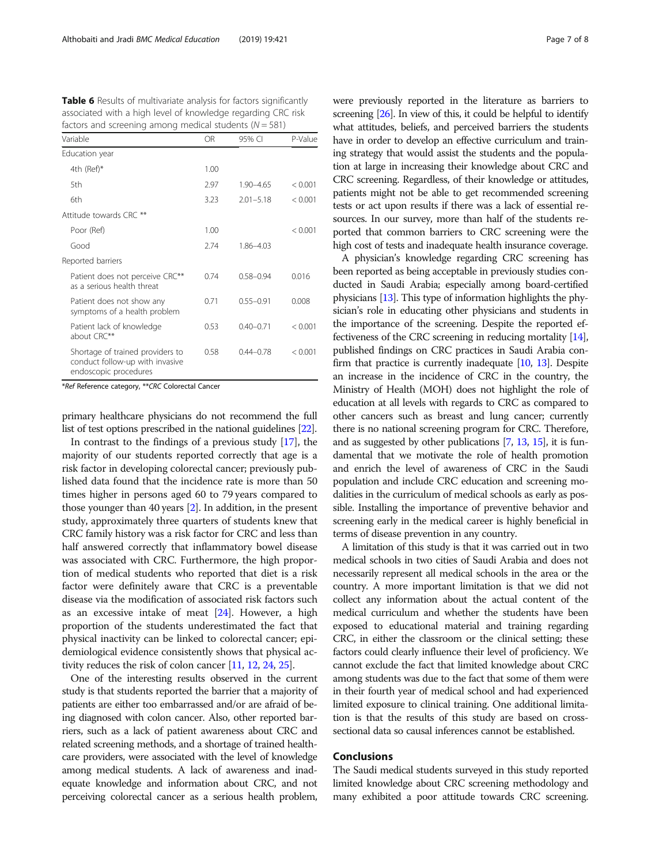<span id="page-6-0"></span>

| <b>Table 6</b> Results of multivariate analysis for factors significantly |
|---------------------------------------------------------------------------|
| associated with a high level of knowledge regarding CRC risk              |
| factors and screening among medical students ( $N = 581$ )                |

| Variable                                                                                     | OR   | 95% CI        | P-Value |
|----------------------------------------------------------------------------------------------|------|---------------|---------|
| Education year                                                                               |      |               |         |
| 4th (Ref)*                                                                                   | 1.00 |               |         |
| 5th                                                                                          | 2.97 | 1.90-4.65     | < 0.001 |
| 6th                                                                                          | 3.23 | $2.01 - 5.18$ | < 0.001 |
| Attitude towards CRC <sup>**</sup>                                                           |      |               |         |
| Poor (Ref)                                                                                   | 1.00 |               | < 0.001 |
| Good                                                                                         | 2.74 | 1.86-4.03     |         |
| Reported barriers                                                                            |      |               |         |
| Patient does not perceive CRC**<br>as a serious health threat                                | 0.74 | $0.58 - 0.94$ | 0.016   |
| Patient does not show any<br>symptoms of a health problem                                    | 0.71 | $0.55 - 0.91$ | 0.008   |
| Patient lack of knowledge<br>about CRC**                                                     | 0.53 | $0.40 - 0.71$ | < 0.001 |
| Shortage of trained providers to<br>conduct follow-up with invasive<br>endoscopic procedures | 0.58 | $0.44 - 0.78$ | < 0.001 |

\*Ref Reference category, \*\*CRC Colorectal Cancer

primary healthcare physicians do not recommend the full list of test options prescribed in the national guidelines [[22](#page-7-0)].

In contrast to the findings of a previous study [[17](#page-7-0)], the majority of our students reported correctly that age is a risk factor in developing colorectal cancer; previously published data found that the incidence rate is more than 50 times higher in persons aged 60 to 79 years compared to those younger than 40 years [[2\]](#page-7-0). In addition, in the present study, approximately three quarters of students knew that CRC family history was a risk factor for CRC and less than half answered correctly that inflammatory bowel disease was associated with CRC. Furthermore, the high proportion of medical students who reported that diet is a risk factor were definitely aware that CRC is a preventable disease via the modification of associated risk factors such as an excessive intake of meat  $[24]$ . However, a high proportion of the students underestimated the fact that physical inactivity can be linked to colorectal cancer; epidemiological evidence consistently shows that physical activity reduces the risk of colon cancer [\[11,](#page-7-0) [12,](#page-7-0) [24](#page-7-0), [25\]](#page-7-0).

One of the interesting results observed in the current study is that students reported the barrier that a majority of patients are either too embarrassed and/or are afraid of being diagnosed with colon cancer. Also, other reported barriers, such as a lack of patient awareness about CRC and related screening methods, and a shortage of trained healthcare providers, were associated with the level of knowledge among medical students. A lack of awareness and inadequate knowledge and information about CRC, and not perceiving colorectal cancer as a serious health problem, were previously reported in the literature as barriers to screening [\[26\]](#page-7-0). In view of this, it could be helpful to identify what attitudes, beliefs, and perceived barriers the students have in order to develop an effective curriculum and training strategy that would assist the students and the population at large in increasing their knowledge about CRC and CRC screening. Regardless, of their knowledge or attitudes, patients might not be able to get recommended screening tests or act upon results if there was a lack of essential resources. In our survey, more than half of the students reported that common barriers to CRC screening were the high cost of tests and inadequate health insurance coverage.

A physician's knowledge regarding CRC screening has been reported as being acceptable in previously studies conducted in Saudi Arabia; especially among board-certified physicians [\[13\]](#page-7-0). This type of information highlights the physician's role in educating other physicians and students in the importance of the screening. Despite the reported effectiveness of the CRC screening in reducing mortality [\[14](#page-7-0)], published findings on CRC practices in Saudi Arabia confirm that practice is currently inadequate [\[10](#page-7-0), [13](#page-7-0)]. Despite an increase in the incidence of CRC in the country, the Ministry of Health (MOH) does not highlight the role of education at all levels with regards to CRC as compared to other cancers such as breast and lung cancer; currently there is no national screening program for CRC. Therefore, and as suggested by other publications [\[7,](#page-7-0) [13](#page-7-0), [15\]](#page-7-0), it is fundamental that we motivate the role of health promotion and enrich the level of awareness of CRC in the Saudi population and include CRC education and screening modalities in the curriculum of medical schools as early as possible. Installing the importance of preventive behavior and screening early in the medical career is highly beneficial in terms of disease prevention in any country.

A limitation of this study is that it was carried out in two medical schools in two cities of Saudi Arabia and does not necessarily represent all medical schools in the area or the country. A more important limitation is that we did not collect any information about the actual content of the medical curriculum and whether the students have been exposed to educational material and training regarding CRC, in either the classroom or the clinical setting; these factors could clearly influence their level of proficiency. We cannot exclude the fact that limited knowledge about CRC among students was due to the fact that some of them were in their fourth year of medical school and had experienced limited exposure to clinical training. One additional limitation is that the results of this study are based on crosssectional data so causal inferences cannot be established.

# **Conclusions**

The Saudi medical students surveyed in this study reported limited knowledge about CRC screening methodology and many exhibited a poor attitude towards CRC screening.